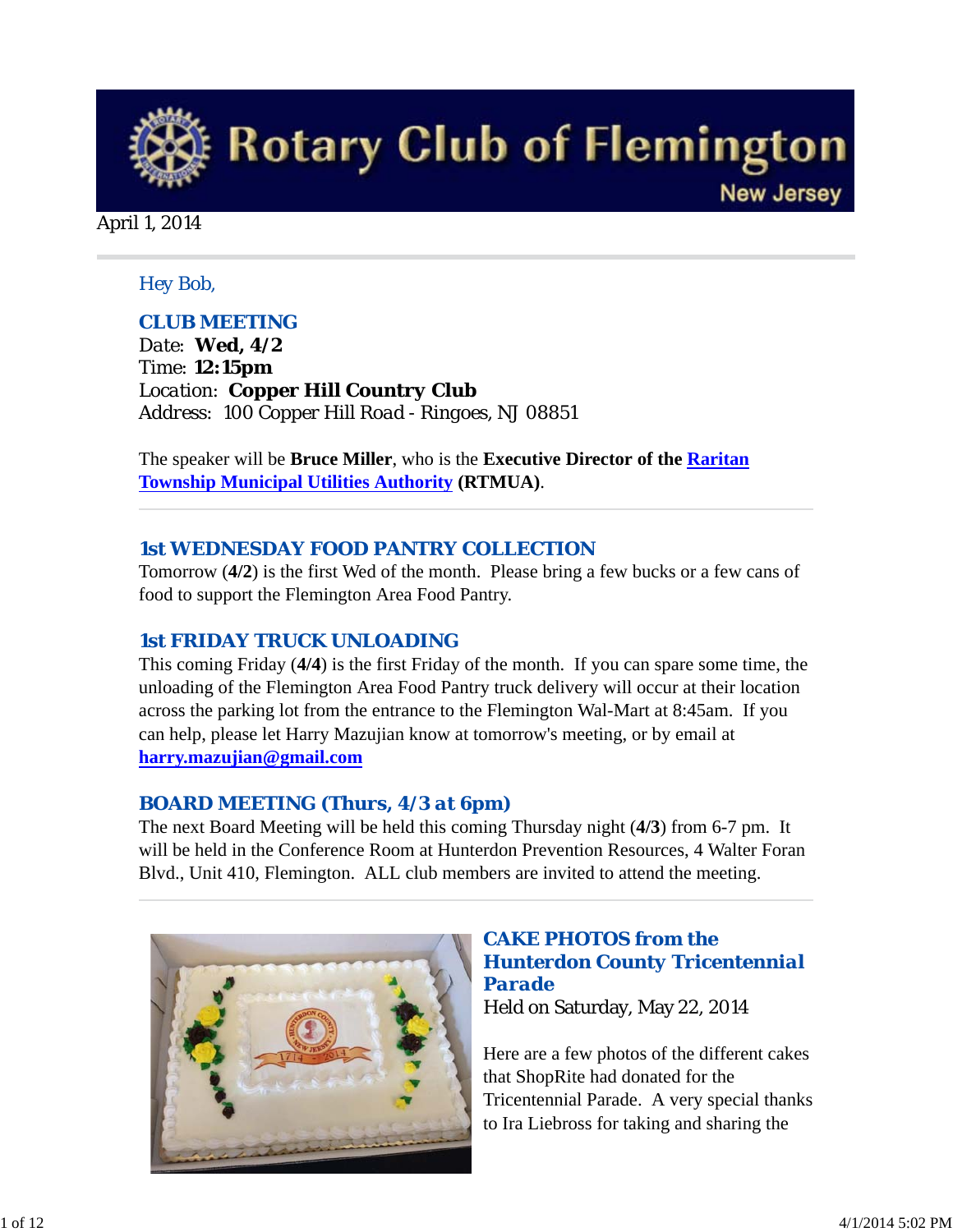

April 1, 2014

## *Hey Bob,*

## *CLUB MEETING*

*Date: Wed, 4/2 Time: 12:15pm Location: Copper Hill Country Club Address: 100 Copper Hill Road - Ringoes, NJ 08851*

The speaker will be **Bruce Miller**, who is the **Executive Director of the Raritan Township Municipal Utilities Authority (RTMUA)**.

## *1st WEDNESDAY FOOD PANTRY COLLECTION*

Tomorrow (**4/2**) is the first Wed of the month. Please bring a few bucks or a few cans of food to support the Flemington Area Food Pantry.

## *1st FRIDAY TRUCK UNLOADING*

This coming Friday (**4/4**) is the first Friday of the month. If you can spare some time, the unloading of the Flemington Area Food Pantry truck delivery will occur at their location across the parking lot from the entrance to the Flemington Wal-Mart at 8:45am. If you can help, please let Harry Mazujian know at tomorrow's meeting, or by email at **harry.mazujian@gmail.com**

## *BOARD MEETING (Thurs, 4/3 at 6pm)*

The next Board Meeting will be held this coming Thursday night (**4/3**) from 6-7 pm. It will be held in the Conference Room at Hunterdon Prevention Resources, 4 Walter Foran Blvd., Unit 410, Flemington. ALL club members are invited to attend the meeting.



# *CAKE PHOTOS from the Hunterdon County Tricentennial Parade*

Held on Saturday, May 22, 2014

Here are a few photos of the different cakes that ShopRite had donated for the Tricentennial Parade. A very special thanks to Ira Liebross for taking and sharing the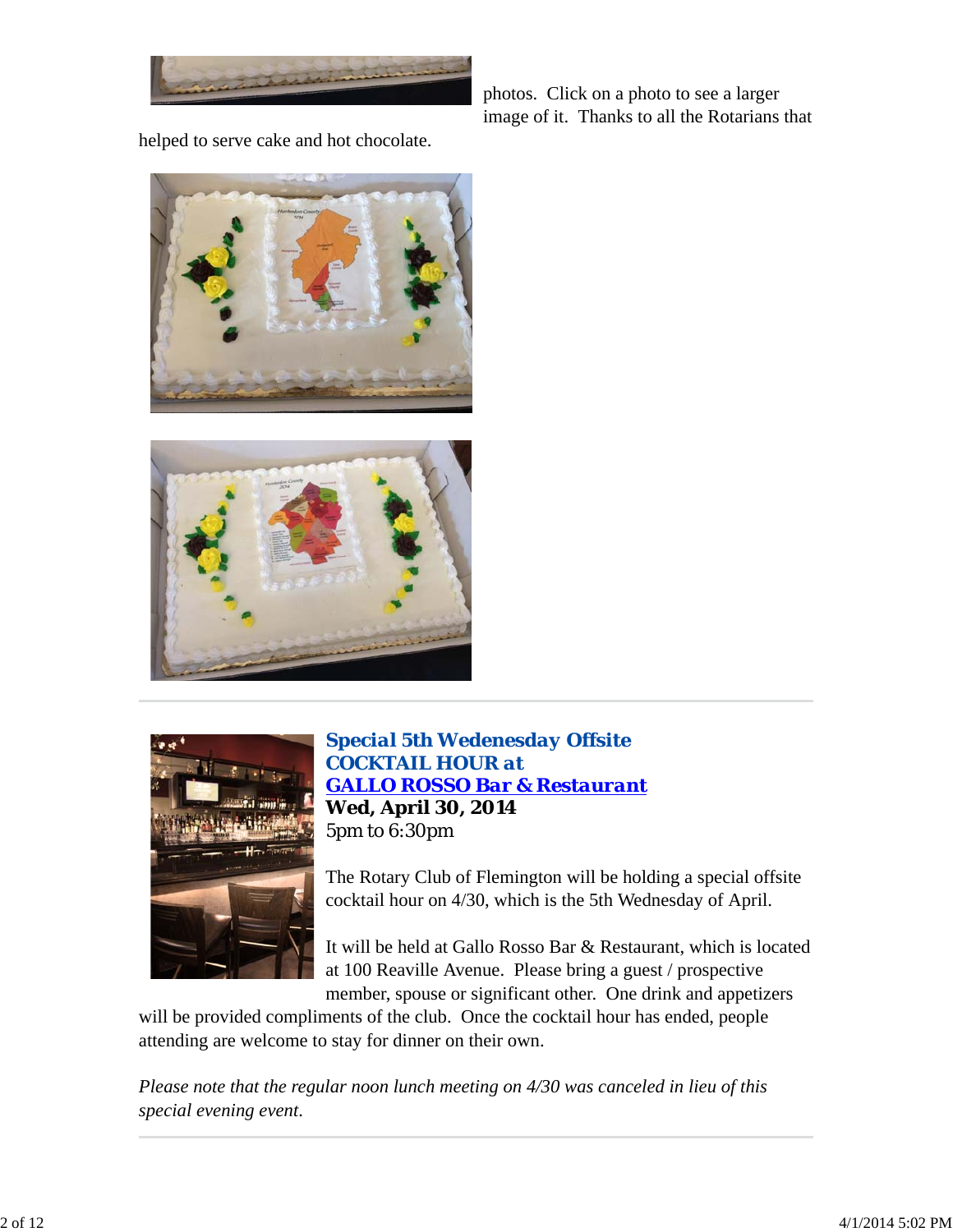

photos. Click on a photo to see a larger image of it. Thanks to all the Rotarians that

helped to serve cake and hot chocolate.







*Special 5th Wedenesday Offsite COCKTAIL HOUR at GALLO ROSSO Bar & Restaurant* **Wed, April 30, 2014** 5pm to 6:30pm

The Rotary Club of Flemington will be holding a special offsite cocktail hour on 4/30, which is the 5th Wednesday of April.

It will be held at Gallo Rosso Bar & Restaurant, which is located at 100 Reaville Avenue. Please bring a guest / prospective member, spouse or significant other. One drink and appetizers

will be provided compliments of the club. Once the cocktail hour has ended, people attending are welcome to stay for dinner on their own.

*Please note that the regular noon lunch meeting on 4/30 was canceled in lieu of this special evening event*.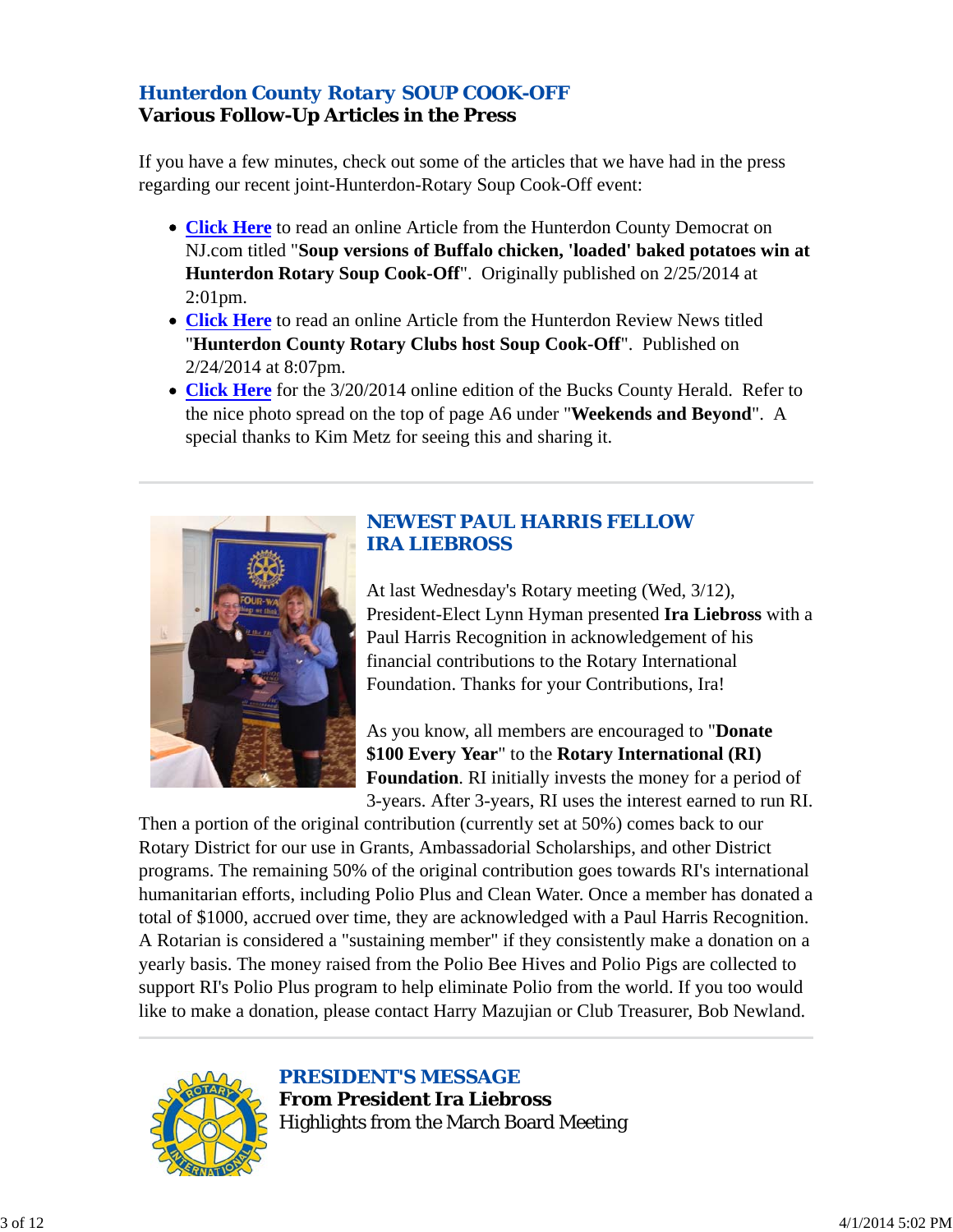# *Hunterdon County Rotary SOUP COOK-OFF* **Various Follow-Up Articles in the Press**

If you have a few minutes, check out some of the articles that we have had in the press regarding our recent joint-Hunterdon-Rotary Soup Cook-Off event:

- **Click Here** to read an online Article from the Hunterdon County Democrat on NJ.com titled "**Soup versions of Buffalo chicken, 'loaded' baked potatoes win at Hunterdon Rotary Soup Cook-Off**". Originally published on 2/25/2014 at 2:01pm.
- **Click Here** to read an online Article from the Hunterdon Review News titled "**Hunterdon County Rotary Clubs host Soup Cook-Off**". Published on 2/24/2014 at 8:07pm.
- **Click Here** for the 3/20/2014 online edition of the Bucks County Herald. Refer to the nice photo spread on the top of page A6 under "**Weekends and Beyond**". A special thanks to Kim Metz for seeing this and sharing it.



## *NEWEST PAUL HARRIS FELLOW IRA LIEBROSS*

At last Wednesday's Rotary meeting (Wed, 3/12), President-Elect Lynn Hyman presented **Ira Liebross** with a Paul Harris Recognition in acknowledgement of his financial contributions to the Rotary International Foundation. Thanks for your Contributions, Ira!

As you know, all members are encouraged to "**Donate \$100 Every Year**" to the **Rotary International (RI) Foundation**. RI initially invests the money for a period of 3-years. After 3-years, RI uses the interest earned to run RI.

Then a portion of the original contribution (currently set at 50%) comes back to our Rotary District for our use in Grants, Ambassadorial Scholarships, and other District programs. The remaining 50% of the original contribution goes towards RI's international humanitarian efforts, including Polio Plus and Clean Water. Once a member has donated a total of \$1000, accrued over time, they are acknowledged with a Paul Harris Recognition. A Rotarian is considered a "sustaining member" if they consistently make a donation on a yearly basis. The money raised from the Polio Bee Hives and Polio Pigs are collected to support RI's Polio Plus program to help eliminate Polio from the world. If you too would like to make a donation, please contact Harry Mazujian or Club Treasurer, Bob Newland.



*PRESIDENT'S MESSAGE* **From President Ira Liebross** Highlights from the March Board Meeting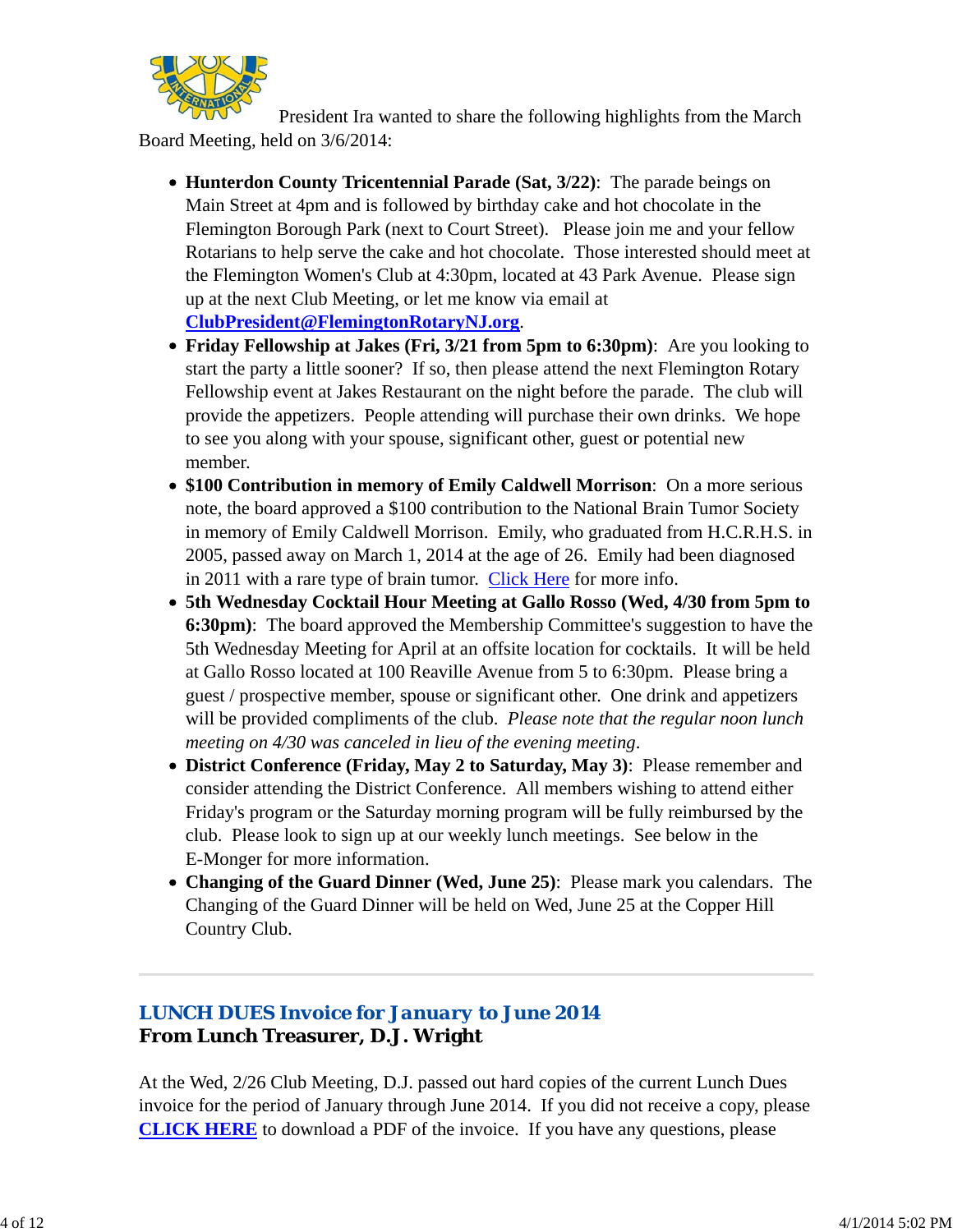

President Ira wanted to share the following highlights from the March Board Meeting, held on 3/6/2014:

- **Hunterdon County Tricentennial Parade (Sat, 3/22)**: The parade beings on Main Street at 4pm and is followed by birthday cake and hot chocolate in the Flemington Borough Park (next to Court Street). Please join me and your fellow Rotarians to help serve the cake and hot chocolate. Those interested should meet at the Flemington Women's Club at 4:30pm, located at 43 Park Avenue. Please sign up at the next Club Meeting, or let me know via email at **ClubPresident@FlemingtonRotaryNJ.org**.
- **Friday Fellowship at Jakes (Fri, 3/21 from 5pm to 6:30pm)**: Are you looking to start the party a little sooner? If so, then please attend the next Flemington Rotary Fellowship event at Jakes Restaurant on the night before the parade. The club will provide the appetizers. People attending will purchase their own drinks. We hope to see you along with your spouse, significant other, guest or potential new member.
- **\$100 Contribution in memory of Emily Caldwell Morrison**: On a more serious note, the board approved a \$100 contribution to the National Brain Tumor Society in memory of Emily Caldwell Morrison. Emily, who graduated from H.C.R.H.S. in 2005, passed away on March 1, 2014 at the age of 26. Emily had been diagnosed in 2011 with a rare type of brain tumor. Click Here for more info.
- **5th Wednesday Cocktail Hour Meeting at Gallo Rosso (Wed, 4/30 from 5pm to 6:30pm)**: The board approved the Membership Committee's suggestion to have the 5th Wednesday Meeting for April at an offsite location for cocktails. It will be held at Gallo Rosso located at 100 Reaville Avenue from 5 to 6:30pm. Please bring a guest / prospective member, spouse or significant other. One drink and appetizers will be provided compliments of the club. *Please note that the regular noon lunch meeting on 4/30 was canceled in lieu of the evening meeting*.
- **District Conference (Friday, May 2 to Saturday, May 3)**: Please remember and consider attending the District Conference. All members wishing to attend either Friday's program or the Saturday morning program will be fully reimbursed by the club. Please look to sign up at our weekly lunch meetings. See below in the E-Monger for more information.
- **Changing of the Guard Dinner (Wed, June 25)**: Please mark you calendars. The Changing of the Guard Dinner will be held on Wed, June 25 at the Copper Hill Country Club.

# *LUNCH DUES Invoice for January to June 2014* **From Lunch Treasurer, D.J. Wright**

At the Wed, 2/26 Club Meeting, D.J. passed out hard copies of the current Lunch Dues invoice for the period of January through June 2014. If you did not receive a copy, please **CLICK HERE** to download a PDF of the invoice. If you have any questions, please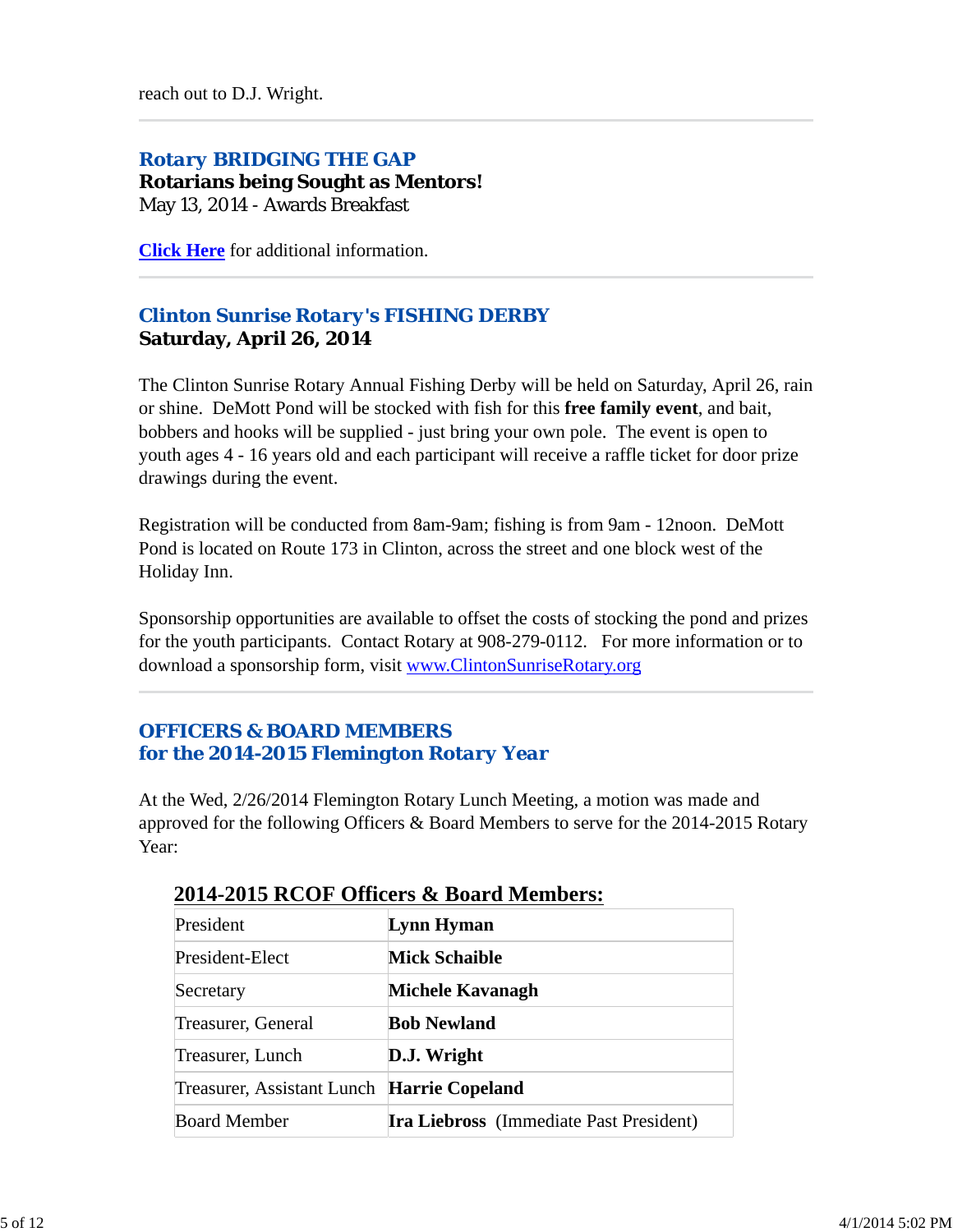reach out to D.J. Wright.

## *Rotary BRIDGING THE GAP* **Rotarians being Sought as Mentors!** May 13, 2014 - Awards Breakfast

**Click Here** for additional information.

# *Clinton Sunrise Rotary's FISHING DERBY* **Saturday, April 26, 2014**

The Clinton Sunrise Rotary Annual Fishing Derby will be held on Saturday, April 26, rain or shine. DeMott Pond will be stocked with fish for this **free family event**, and bait, bobbers and hooks will be supplied - just bring your own pole. The event is open to youth ages 4 - 16 years old and each participant will receive a raffle ticket for door prize drawings during the event.

Registration will be conducted from 8am-9am; fishing is from 9am - 12noon. DeMott Pond is located on Route 173 in Clinton, across the street and one block west of the Holiday Inn.

Sponsorship opportunities are available to offset the costs of stocking the pond and prizes for the youth participants. Contact Rotary at 908-279-0112. For more information or to download a sponsorship form, visit www.ClintonSunriseRotary.org

## *OFFICERS & BOARD MEMBERS for the 2014-2015 Flemington Rotary Year*

At the Wed, 2/26/2014 Flemington Rotary Lunch Meeting, a motion was made and approved for the following Officers & Board Members to serve for the 2014-2015 Rotary Year:

| President                                  | Lynn Hyman                                     |  |  |
|--------------------------------------------|------------------------------------------------|--|--|
| President-Elect                            | <b>Mick Schaible</b>                           |  |  |
| Secretary                                  | Michele Kavanagh                               |  |  |
| Treasurer, General                         | <b>Bob Newland</b>                             |  |  |
| Treasurer, Lunch                           | D.J. Wright                                    |  |  |
| Treasurer, Assistant Lunch Harrie Copeland |                                                |  |  |
| <b>Board Member</b>                        | <b>Ira Liebross</b> (Immediate Past President) |  |  |

# **2014-2015 RCOF Officers & Board Members:**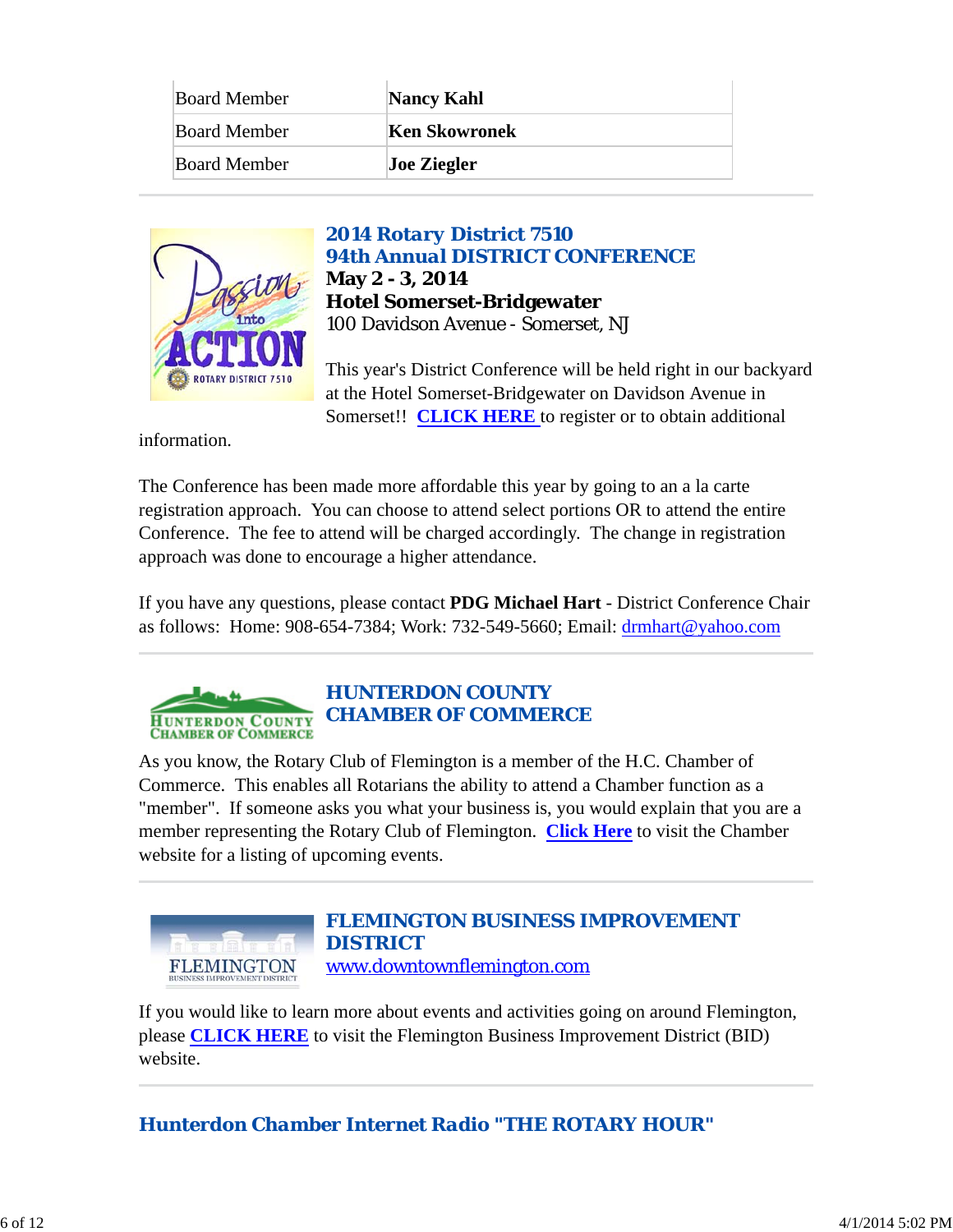| <b>Board Member</b> | Nancy Kahl         |
|---------------------|--------------------|
| <b>Board Member</b> | Ken Skowronek      |
| <b>Board Member</b> | <b>Joe Ziegler</b> |



## *2014 Rotary District 7510 94th Annual DISTRICT CONFERENCE* **May 2 - 3, 2014 Hotel Somerset-Bridgewater**

100 Davidson Avenue - Somerset, NJ

This year's District Conference will be held right in our backyard at the Hotel Somerset-Bridgewater on Davidson Avenue in Somerset!! **CLICK HERE** to register or to obtain additional

information.

The Conference has been made more affordable this year by going to an a la carte registration approach. You can choose to attend select portions OR to attend the entire Conference. The fee to attend will be charged accordingly. The change in registration approach was done to encourage a higher attendance.

If you have any questions, please contact **PDG Michael Hart** - District Conference Chair as follows: Home: 908-654-7384; Work: 732-549-5660; Email: drmhart@yahoo.com



As you know, the Rotary Club of Flemington is a member of the H.C. Chamber of Commerce. This enables all Rotarians the ability to attend a Chamber function as a "member". If someone asks you what your business is, you would explain that you are a member representing the Rotary Club of Flemington. **Click Here** to visit the Chamber website for a listing of upcoming events.

*FLEMINGTON BUSINESS IMPROVEMENT DISTRICT* www.downtownflemington.com **FLEMINGTON** 

If you would like to learn more about events and activities going on around Flemington, please **CLICK HERE** to visit the Flemington Business Improvement District (BID) website.

*Hunterdon Chamber Internet Radio "THE ROTARY HOUR"*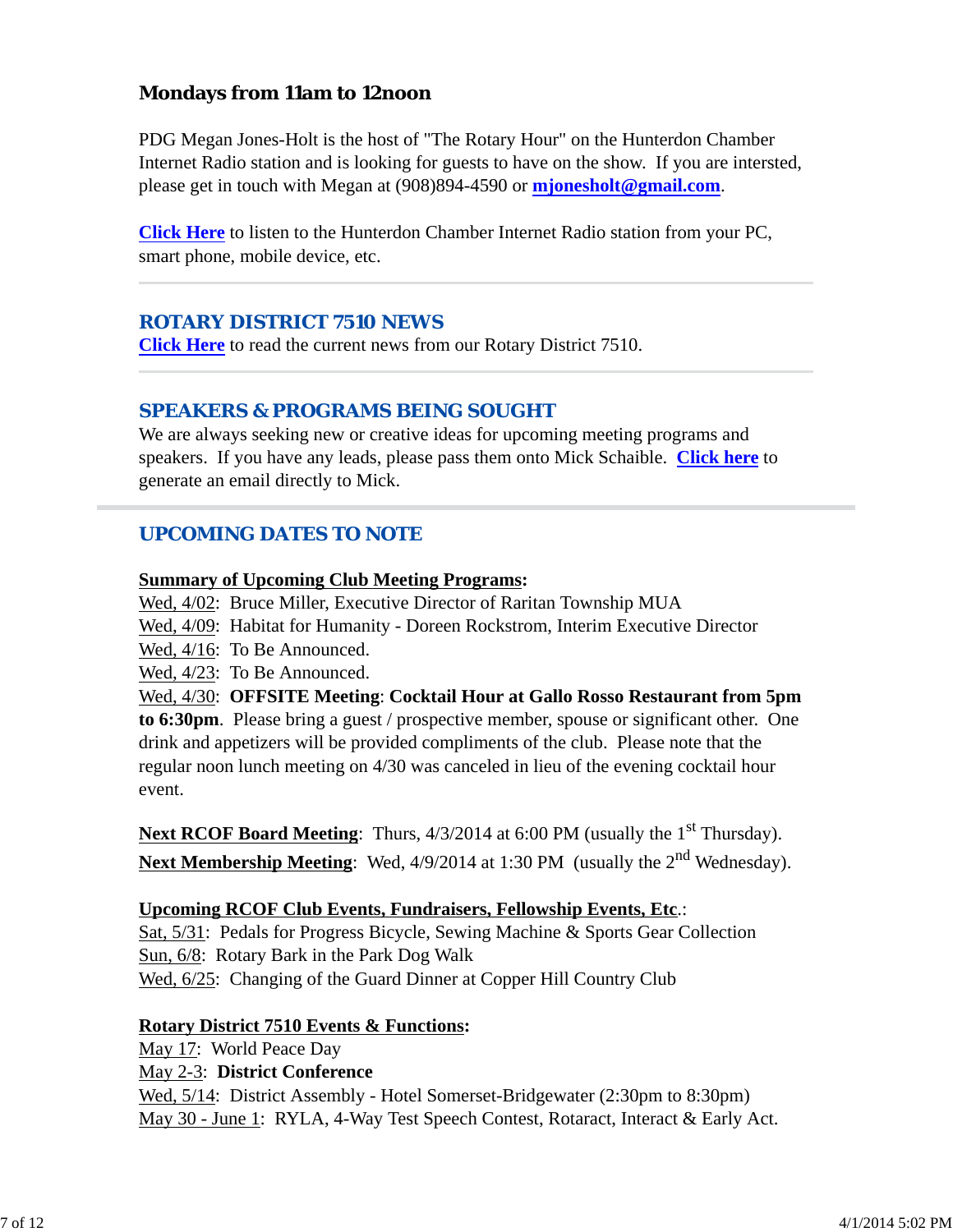## **Mondays from 11am to 12noon**

PDG Megan Jones-Holt is the host of "The Rotary Hour" on the Hunterdon Chamber Internet Radio station and is looking for guests to have on the show. If you are intersted, please get in touch with Megan at (908)894-4590 or **mjonesholt@gmail.com**.

**Click Here** to listen to the Hunterdon Chamber Internet Radio station from your PC, smart phone, mobile device, etc.

## *ROTARY DISTRICT 7510 NEWS*

**Click Here** to read the current news from our Rotary District 7510.

## *SPEAKERS & PROGRAMS BEING SOUGHT*

We are always seeking new or creative ideas for upcoming meeting programs and speakers. If you have any leads, please pass them onto Mick Schaible. **Click here** to generate an email directly to Mick.

## *UPCOMING DATES TO NOTE*

#### **Summary of Upcoming Club Meeting Programs:**

Wed, 4/02: Bruce Miller, Executive Director of Raritan Township MUA

Wed, 4/09: Habitat for Humanity - Doreen Rockstrom, Interim Executive Director

Wed, 4/16: To Be Announced.

Wed, 4/23: To Be Announced.

Wed, 4/30: **OFFSITE Meeting**: **Cocktail Hour at Gallo Rosso Restaurant from 5pm**

**to 6:30pm**. Please bring a guest / prospective member, spouse or significant other. One drink and appetizers will be provided compliments of the club. Please note that the regular noon lunch meeting on 4/30 was canceled in lieu of the evening cocktail hour event.

**Next RCOF Board Meeting**: Thurs,  $4/3/2014$  at 6:00 PM (usually the 1<sup>st</sup> Thursday). **Next Membership Meeting**: Wed, 4/9/2014 at 1:30 PM (usually the 2<sup>nd</sup> Wednesday).

**Upcoming RCOF Club Events, Fundraisers, Fellowship Events, Etc**.:

Sat, 5/31: Pedals for Progress Bicycle, Sewing Machine & Sports Gear Collection Sun, 6/8: Rotary Bark in the Park Dog Walk Wed,  $6/25$ : Changing of the Guard Dinner at Copper Hill Country Club

### **Rotary District 7510 Events & Functions:**

May 17: World Peace Day

May 2-3: **District Conference**

Wed, 5/14: District Assembly - Hotel Somerset-Bridgewater (2:30pm to 8:30pm) May 30 - June 1: RYLA, 4-Way Test Speech Contest, Rotaract, Interact & Early Act.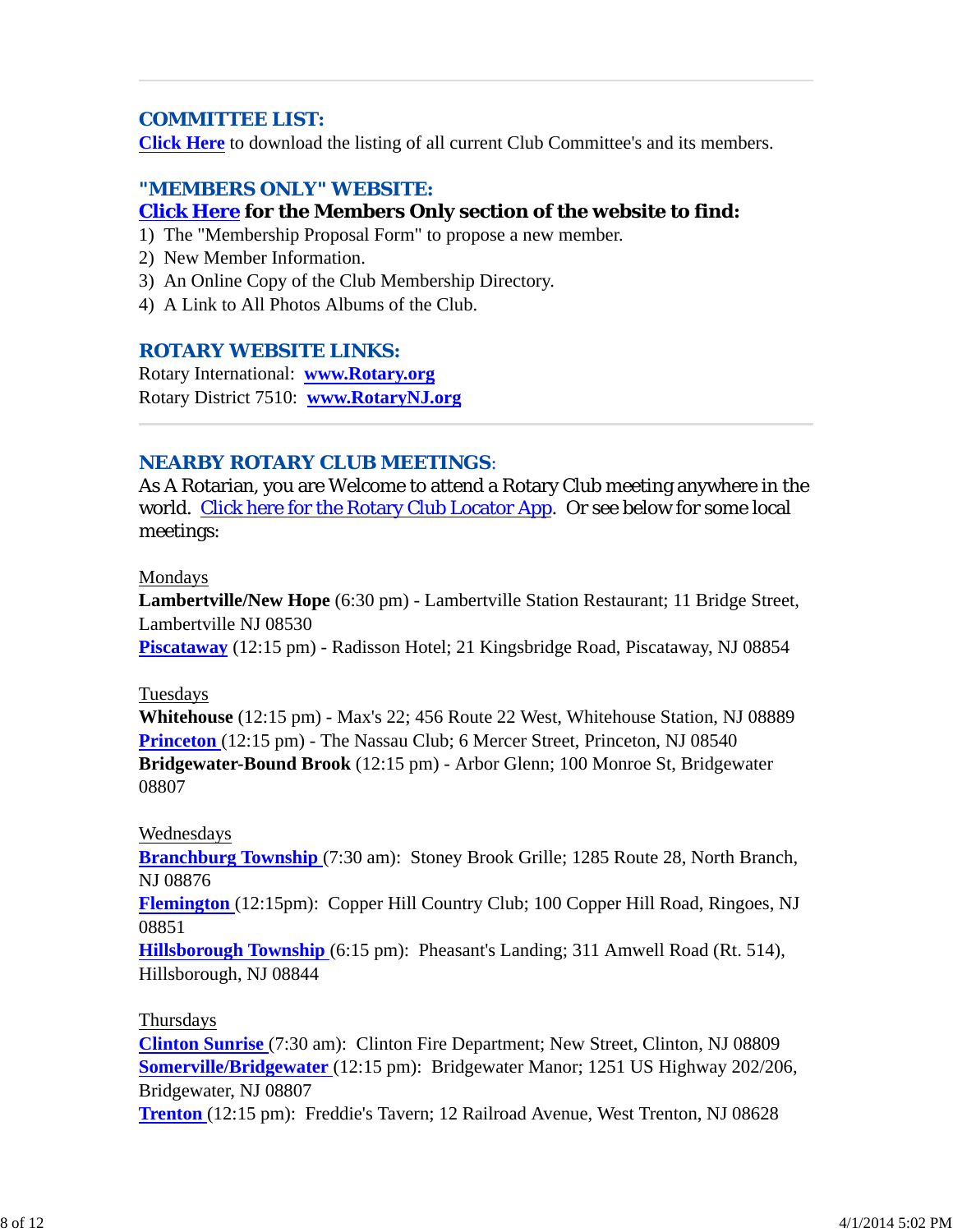## *COMMITTEE LIST:*

**Click Here** to download the listing of all current Club Committee's and its members.

## *"MEMBERS ONLY" WEBSITE:* **Click Here for the Members Only section of the website to find:**

- 1) The "Membership Proposal Form" to propose a new member.
- 2) New Member Information.
- 3) An Online Copy of the Club Membership Directory.
- 4) A Link to All Photos Albums of the Club.

## *ROTARY WEBSITE LINKS:*

Rotary International: **www.Rotary.org** Rotary District 7510: **www.RotaryNJ.org**

## *NEARBY ROTARY CLUB MEETINGS:*

As A Rotarian, you are Welcome to attend a Rotary Club meeting anywhere in the world. Click here for the Rotary Club Locator App. Or see below for some local meetings:

#### Mondays

**Lambertville/New Hope** (6:30 pm) - Lambertville Station Restaurant; 11 Bridge Street, Lambertville NJ 08530

**Piscataway** (12:15 pm) - Radisson Hotel; 21 Kingsbridge Road, Piscataway, NJ 08854

#### Tuesdays

**Whitehouse** (12:15 pm) - Max's 22; 456 Route 22 West, Whitehouse Station, NJ 08889 **Princeton** (12:15 pm) - The Nassau Club; 6 Mercer Street, Princeton, NJ 08540 **Bridgewater-Bound Brook** (12:15 pm) - Arbor Glenn; 100 Monroe St, Bridgewater 08807

#### Wednesdays

**Branchburg Township** (7:30 am): Stoney Brook Grille; 1285 Route 28, North Branch, NJ 08876

**Flemington** (12:15pm): Copper Hill Country Club; 100 Copper Hill Road, Ringoes, NJ 08851

**Hillsborough Township** (6:15 pm): Pheasant's Landing; 311 Amwell Road (Rt. 514), Hillsborough, NJ 08844

#### Thursdays

**Clinton Sunrise** (7:30 am): Clinton Fire Department; New Street, Clinton, NJ 08809 **Somerville/Bridgewater** (12:15 pm): Bridgewater Manor; 1251 US Highway 202/206, Bridgewater, NJ 08807

**Trenton** (12:15 pm): Freddie's Tavern; 12 Railroad Avenue, West Trenton, NJ 08628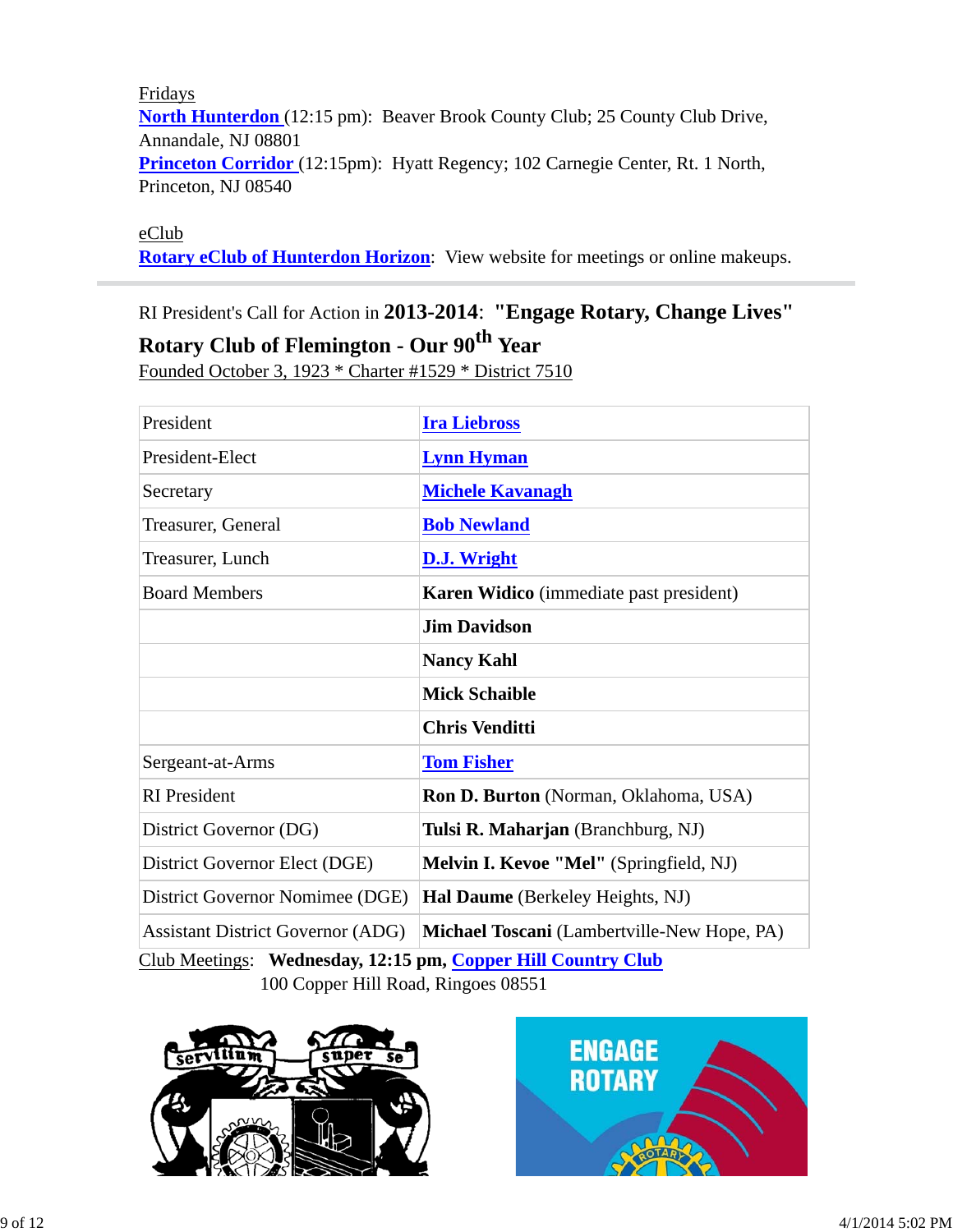Fridays **North Hunterdon** (12:15 pm): Beaver Brook County Club; 25 County Club Drive, Annandale, NJ 08801 **Princeton Corridor** (12:15pm): Hyatt Regency; 102 Carnegie Center, Rt. 1 North, Princeton, NJ 08540

eClub

**Rotary eClub of Hunterdon Horizon**: View website for meetings or online makeups.

# RI President's Call for Action in **2013-2014**: **"Engage Rotary, Change Lives"**

**Rotary Club of Flemington - Our 90th Year**

Founded October 3, 1923 \* Charter #1529 \* District 7510

| President                                                    | <b>Ira Liebross</b>                            |  |  |
|--------------------------------------------------------------|------------------------------------------------|--|--|
| President-Elect                                              | <b>Lynn Hyman</b>                              |  |  |
| Secretary                                                    | <b>Michele Kavanagh</b>                        |  |  |
| Treasurer, General                                           | <b>Bob Newland</b>                             |  |  |
| Treasurer, Lunch                                             | D.J. Wright                                    |  |  |
| <b>Board Members</b>                                         | <b>Karen Widico</b> (immediate past president) |  |  |
|                                                              | <b>Jim Davidson</b>                            |  |  |
|                                                              | <b>Nancy Kahl</b>                              |  |  |
|                                                              | <b>Mick Schaible</b>                           |  |  |
|                                                              | <b>Chris Venditti</b>                          |  |  |
| Sergeant-at-Arms                                             | <b>Tom Fisher</b>                              |  |  |
| <b>RI</b> President                                          | Ron D. Burton (Norman, Oklahoma, USA)          |  |  |
| District Governor (DG)                                       | Tulsi R. Maharjan (Branchburg, NJ)             |  |  |
| District Governor Elect (DGE)                                | Melvin I. Kevoe "Mel" (Springfield, NJ)        |  |  |
| District Governor Nomimee (DGE)                              | Hal Daume (Berkeley Heights, NJ)               |  |  |
| <b>Assistant District Governor (ADG)</b>                     | Michael Toscani (Lambertville-New Hope, PA)    |  |  |
| Club Meetings: Wednesday, 12:15 pm, Copper Hill Country Club |                                                |  |  |

100 Copper Hill Road, Ringoes 08551



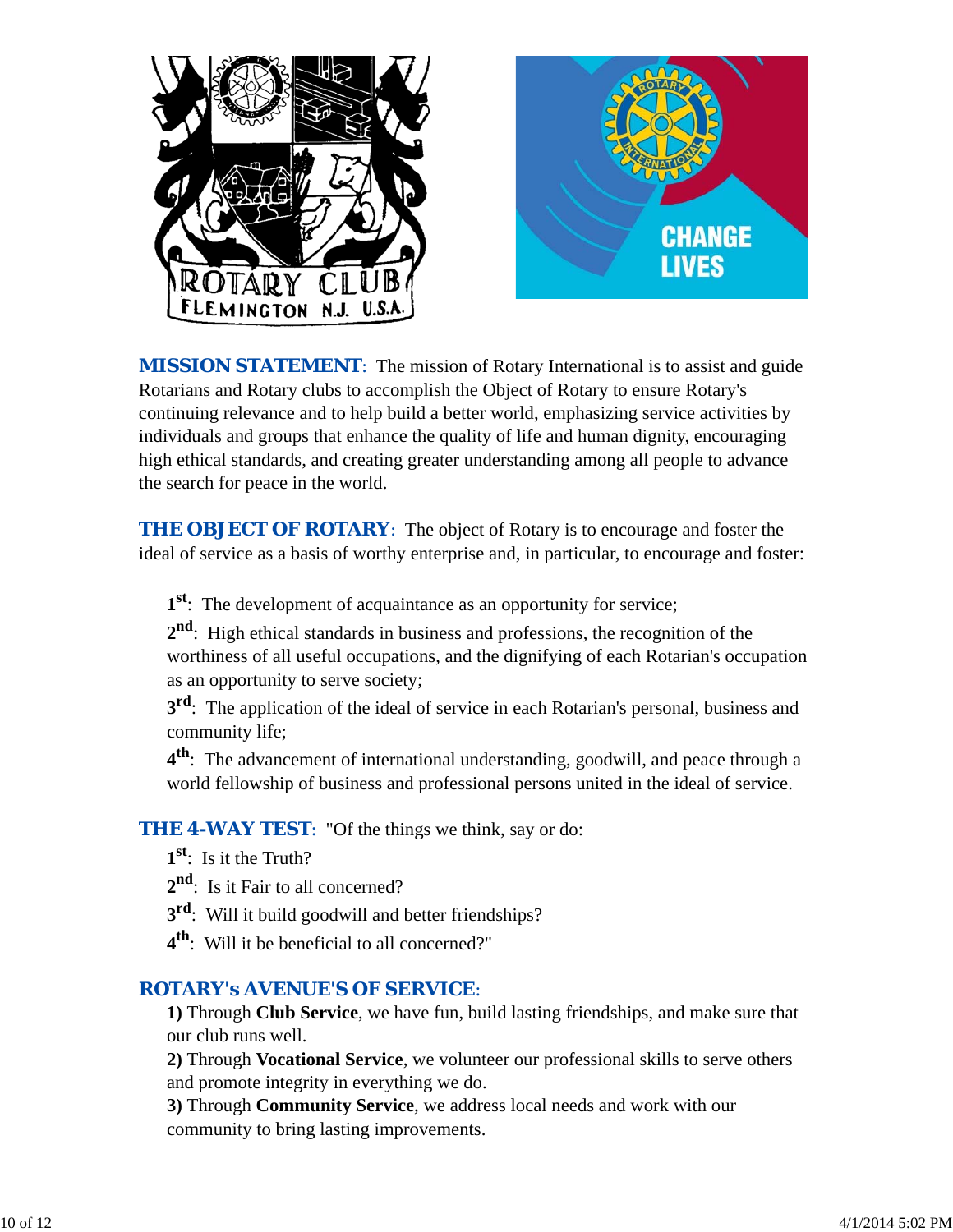

**MISSION STATEMENT:** The mission of Rotary International is to assist and guide Rotarians and Rotary clubs to accomplish the Object of Rotary to ensure Rotary's continuing relevance and to help build a better world, emphasizing service activities by individuals and groups that enhance the quality of life and human dignity, encouraging high ethical standards, and creating greater understanding among all people to advance the search for peace in the world.

**THE OBJECT OF ROTARY:** The object of Rotary is to encourage and foster the ideal of service as a basis of worthy enterprise and, in particular, to encourage and foster:

**1st**: The development of acquaintance as an opportunity for service;

**2nd**: High ethical standards in business and professions, the recognition of the worthiness of all useful occupations, and the dignifying of each Rotarian's occupation as an opportunity to serve society;

**3<sup>rd</sup>**: The application of the ideal of service in each Rotarian's personal, business and community life;

**4th**: The advancement of international understanding, goodwill, and peace through a world fellowship of business and professional persons united in the ideal of service.

**THE 4-WAY TEST:** "Of the things we think, say or do:

- **1st**: Is it the Truth?
- 2<sup>nd</sup>: Is it Fair to all concerned?
- **3rd**: Will it build goodwill and better friendships?
- **4th**: Will it be beneficial to all concerned?"

## *ROTARY's AVENUE'S OF SERVICE*:

**1)** Through **Club Service**, we have fun, build lasting friendships, and make sure that our club runs well.

**2)** Through **Vocational Service**, we volunteer our professional skills to serve others and promote integrity in everything we do.

**3)** Through **Community Service**, we address local needs and work with our community to bring lasting improvements.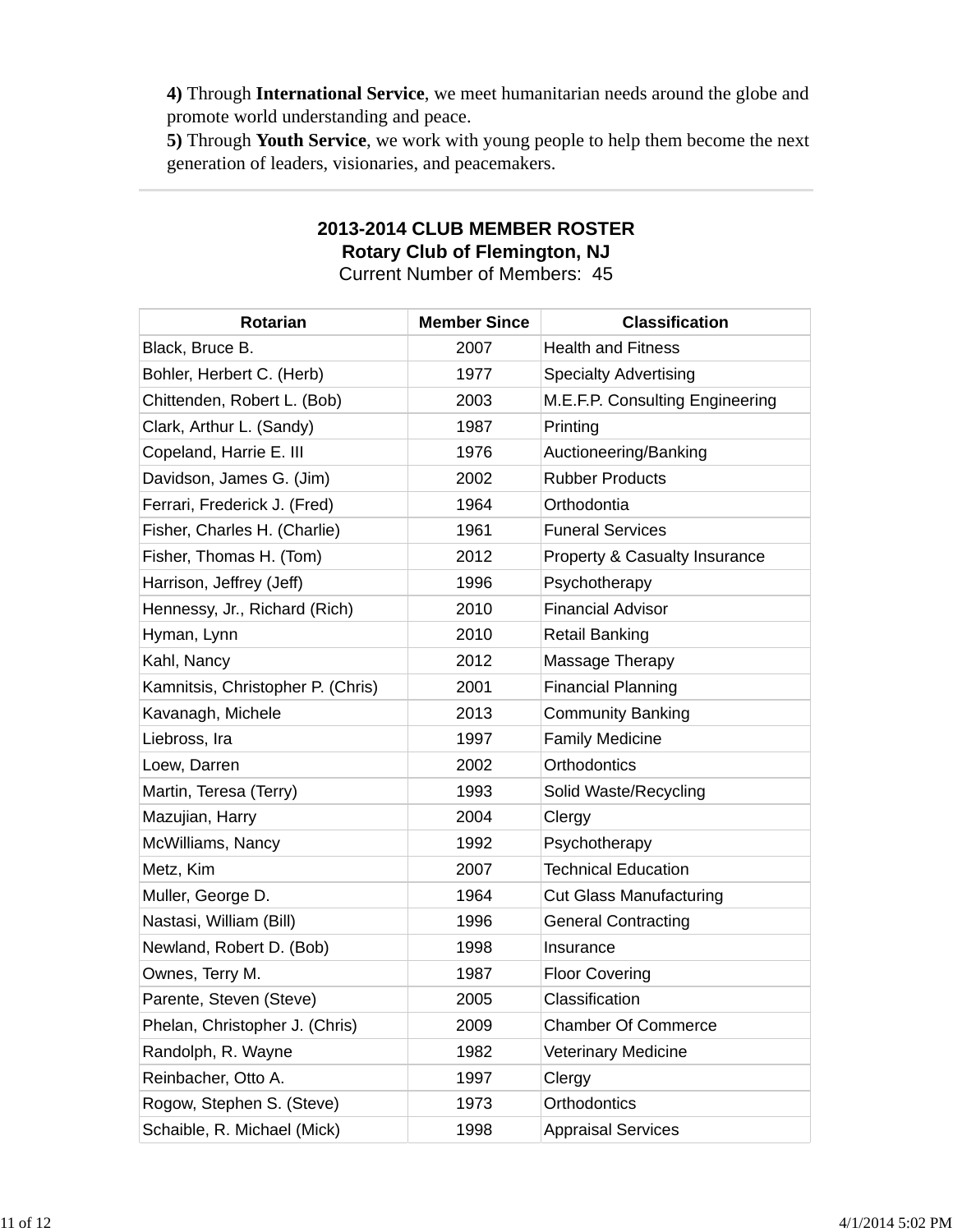**4)** Through **International Service**, we meet humanitarian needs around the globe and promote world understanding and peace.

**5)** Through **Youth Service**, we work with young people to help them become the next generation of leaders, visionaries, and peacemakers.

# **2013-2014 CLUB MEMBER ROSTER Rotary Club of Flemington, NJ**

Current Number of Members: 45

| <b>Rotarian</b>                   | <b>Member Since</b> | <b>Classification</b>           |
|-----------------------------------|---------------------|---------------------------------|
| Black, Bruce B.                   | 2007                | <b>Health and Fitness</b>       |
| Bohler, Herbert C. (Herb)         | 1977                | <b>Specialty Advertising</b>    |
| Chittenden, Robert L. (Bob)       | 2003                | M.E.F.P. Consulting Engineering |
| Clark, Arthur L. (Sandy)          | 1987                | Printing                        |
| Copeland, Harrie E. III           | 1976                | Auctioneering/Banking           |
| Davidson, James G. (Jim)          | 2002                | <b>Rubber Products</b>          |
| Ferrari, Frederick J. (Fred)      | 1964                | Orthodontia                     |
| Fisher, Charles H. (Charlie)      | 1961                | <b>Funeral Services</b>         |
| Fisher, Thomas H. (Tom)           | 2012                | Property & Casualty Insurance   |
| Harrison, Jeffrey (Jeff)          | 1996                | Psychotherapy                   |
| Hennessy, Jr., Richard (Rich)     | 2010                | <b>Financial Advisor</b>        |
| Hyman, Lynn                       | 2010                | <b>Retail Banking</b>           |
| Kahl, Nancy                       | 2012                | Massage Therapy                 |
| Kamnitsis, Christopher P. (Chris) | 2001                | <b>Financial Planning</b>       |
| Kavanagh, Michele                 | 2013                | <b>Community Banking</b>        |
| Liebross, Ira                     | 1997                | <b>Family Medicine</b>          |
| Loew, Darren                      | 2002                | Orthodontics                    |
| Martin, Teresa (Terry)            | 1993                | Solid Waste/Recycling           |
| Mazujian, Harry                   | 2004                | Clergy                          |
| McWilliams, Nancy                 | 1992                | Psychotherapy                   |
| Metz, Kim                         | 2007                | <b>Technical Education</b>      |
| Muller, George D.                 | 1964                | <b>Cut Glass Manufacturing</b>  |
| Nastasi, William (Bill)           | 1996                | <b>General Contracting</b>      |
| Newland, Robert D. (Bob)          | 1998                | Insurance                       |
| Ownes, Terry M.                   | 1987                | <b>Floor Covering</b>           |
| Parente, Steven (Steve)           | 2005                | Classification                  |
| Phelan, Christopher J. (Chris)    | 2009                | <b>Chamber Of Commerce</b>      |
| Randolph, R. Wayne                | 1982                | <b>Veterinary Medicine</b>      |
| Reinbacher, Otto A.               | 1997                | Clergy                          |
| Rogow, Stephen S. (Steve)         | 1973                | Orthodontics                    |
| Schaible, R. Michael (Mick)       | 1998                | <b>Appraisal Services</b>       |